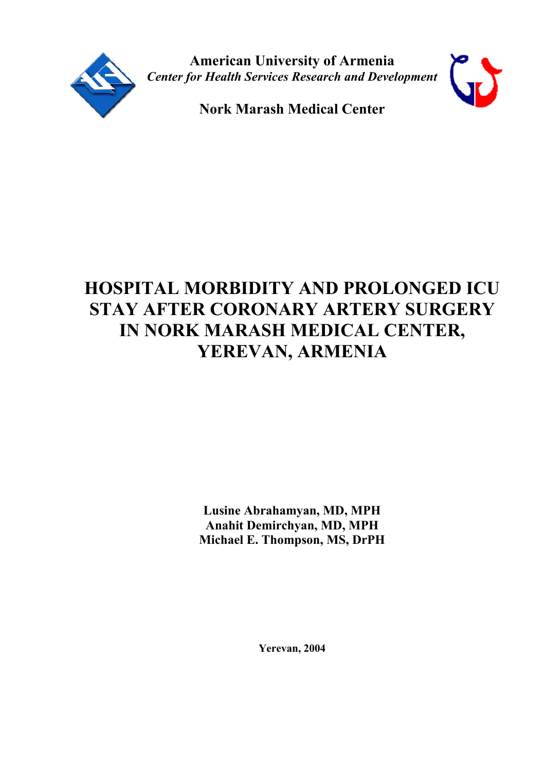

**American University of Armenia** *Center for Health Services Research and Development*



**Nork Marash Medical Center**

# **HOSPITAL MORBIDITY AND PROLONGED ICU STAY AFTER CORONARY ARTERY SURGERY IN NORK MARASH MEDICAL CENTER, YEREVAN, ARMENIA**

**Lusine Abrahamyan, MD, MPH Anahit Demirchyan, MD, MPH Michael E. Thompson, MS, DrPH**

**Yerevan, 2004**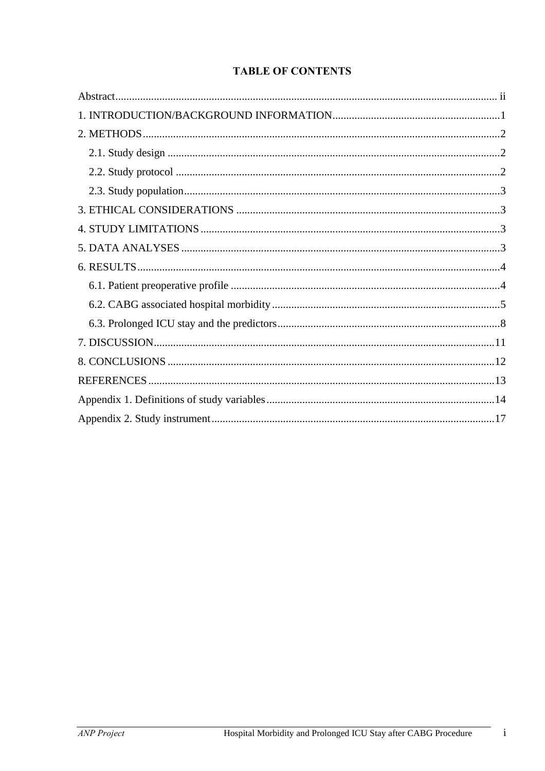# **TABLE OF CONTENTS**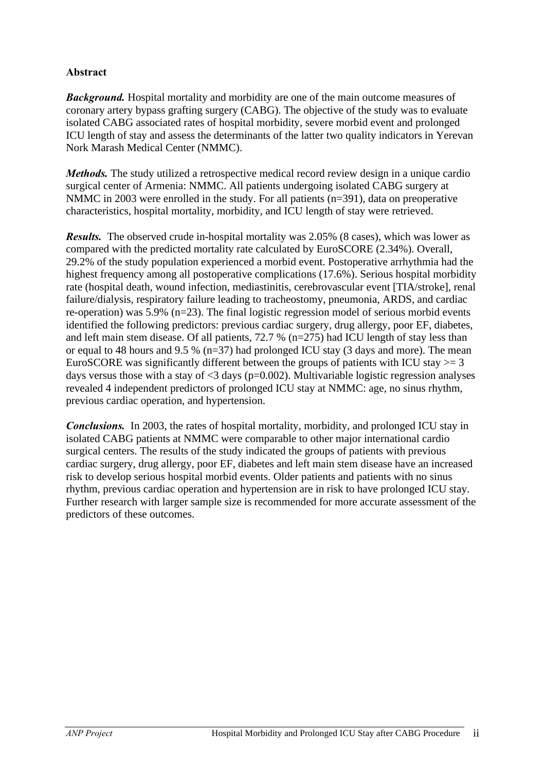#### **Abstract**

*Background.* Hospital mortality and morbidity are one of the main outcome measures of coronary artery bypass grafting surgery (CABG). The objective of the study was to evaluate isolated CABG associated rates of hospital morbidity, severe morbid event and prolonged ICU length of stay and assess the determinants of the latter two quality indicators in Yerevan Nork Marash Medical Center (NMMC).

*Methods.* The study utilized a retrospective medical record review design in a unique cardio surgical center of Armenia: NMMC. All patients undergoing isolated CABG surgery at NMMC in 2003 were enrolled in the study. For all patients (n=391), data on preoperative characteristics, hospital mortality, morbidity, and ICU length of stay were retrieved.

*Results.* The observed crude in-hospital mortality was 2.05% (8 cases), which was lower as compared with the predicted mortality rate calculated by EuroSCORE (2.34%). Overall, 29.2% of the study population experienced a morbid event. Postoperative arrhythmia had the highest frequency among all postoperative complications (17.6%). Serious hospital morbidity rate (hospital death, wound infection, mediastinitis, cerebrovascular event [TIA/stroke], renal failure/dialysis, respiratory failure leading to tracheostomy, pneumonia, ARDS, and cardiac re-operation) was 5.9% (n=23). The final logistic regression model of serious morbid events identified the following predictors: previous cardiac surgery, drug allergy, poor EF, diabetes, and left main stem disease. Of all patients, 72.7 % (n=275) had ICU length of stay less than or equal to 48 hours and 9.5 % (n=37) had prolonged ICU stay (3 days and more). The mean EuroSCORE was significantly different between the groups of patients with ICU stay  $> = 3$ days versus those with a stay of  $\leq$ 3 days (p=0.002). Multivariable logistic regression analyses revealed 4 independent predictors of prolonged ICU stay at NMMC: age, no sinus rhythm, previous cardiac operation, and hypertension.

*Conclusions.* In 2003, the rates of hospital mortality, morbidity, and prolonged ICU stay in isolated CABG patients at NMMC were comparable to other major international cardio surgical centers. The results of the study indicated the groups of patients with previous cardiac surgery, drug allergy, poor EF, diabetes and left main stem disease have an increased risk to develop serious hospital morbid events. Older patients and patients with no sinus rhythm, previous cardiac operation and hypertension are in risk to have prolonged ICU stay. Further research with larger sample size is recommended for more accurate assessment of the predictors of these outcomes.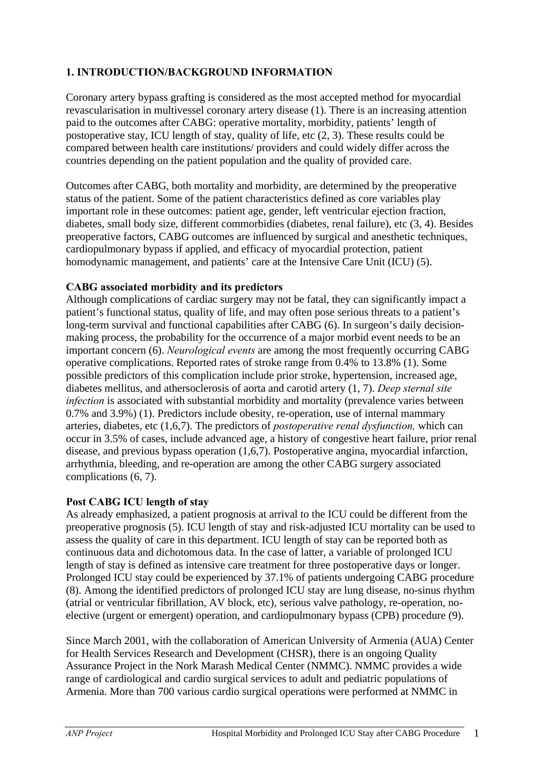# **1. INTRODUCTION/BACKGROUND INFORMATION**

Coronary artery bypass grafting is considered as the most accepted method for myocardial revascularisation in multivessel coronary artery disease (1). There is an increasing attention paid to the outcomes after CABG: operative mortality, morbidity, patients' length of postoperative stay, ICU length of stay, quality of life, etc (2, 3). These results could be compared between health care institutions/ providers and could widely differ across the countries depending on the patient population and the quality of provided care.

Outcomes after CABG, both mortality and morbidity, are determined by the preoperative status of the patient. Some of the patient characteristics defined as core variables play important role in these outcomes: patient age, gender, left ventricular ejection fraction, diabetes, small body size, different commorbidies (diabetes, renal failure), etc (3, 4). Besides preoperative factors, CABG outcomes are influenced by surgical and anesthetic techniques, cardiopulmonary bypass if applied, and efficacy of myocardial protection, patient homodynamic management, and patients' care at the Intensive Care Unit (ICU) (5).

#### **CABG associated morbidity and its predictors**

Although complications of cardiac surgery may not be fatal, they can significantly impact a patient's functional status, quality of life, and may often pose serious threats to a patient's long-term survival and functional capabilities after CABG (6). In surgeon's daily decisionmaking process, the probability for the occurrence of a major morbid event needs to be an important concern (6). *Neurological events* are among the most frequently occurring CABG operative complications. Reported rates of stroke range from 0.4% to 13.8% (1). Some possible predictors of this complication include prior stroke, hypertension, increased age, diabetes mellitus, and athersoclerosis of aorta and carotid artery (1, 7). *Deep sternal site infection* is associated with substantial morbidity and mortality (prevalence varies between 0.7% and 3.9%) (1). Predictors include obesity, re-operation, use of internal mammary arteries, diabetes, etc (1,6,7). The predictors of *postoperative renal dysfunction,* which can occur in 3.5% of cases, include advanced age, a history of congestive heart failure, prior renal disease, and previous bypass operation (1,6,7). Postoperative angina, myocardial infarction, arrhythmia, bleeding, and re-operation are among the other CABG surgery associated complications (6, 7).

#### **Post CABG ICU length of stay**

As already emphasized, a patient prognosis at arrival to the ICU could be different from the preoperative prognosis (5). ICU length of stay and risk-adjusted ICU mortality can be used to assess the quality of care in this department. ICU length of stay can be reported both as continuous data and dichotomous data. In the case of latter, a variable of prolonged ICU length of stay is defined as intensive care treatment for three postoperative days or longer. Prolonged ICU stay could be experienced by 37.1% of patients undergoing CABG procedure (8). Among the identified predictors of prolonged ICU stay are lung disease, no-sinus rhythm (atrial or ventricular fibrillation, AV block, etc), serious valve pathology, re-operation, noelective (urgent or emergent) operation, and cardiopulmonary bypass (CPB) procedure (9).

Since March 2001, with the collaboration of American University of Armenia (AUA) Center for Health Services Research and Development (CHSR), there is an ongoing Quality Assurance Project in the Nork Marash Medical Center (NMMC). NMMC provides a wide range of cardiological and cardio surgical services to adult and pediatric populations of Armenia. More than 700 various cardio surgical operations were performed at NMMC in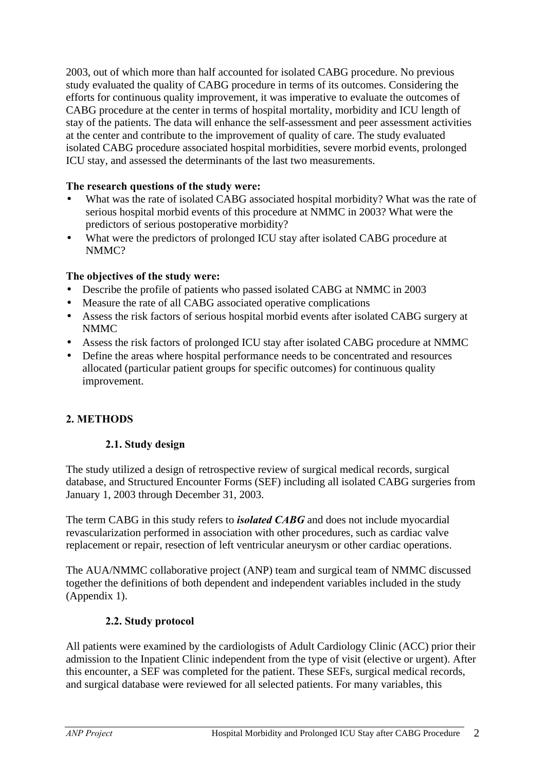2003, out of which more than half accounted for isolated CABG procedure. No previous study evaluated the quality of CABG procedure in terms of its outcomes. Considering the efforts for continuous quality improvement, it was imperative to evaluate the outcomes of CABG procedure at the center in terms of hospital mortality, morbidity and ICU length of stay of the patients. The data will enhance the self-assessment and peer assessment activities at the center and contribute to the improvement of quality of care. The study evaluated isolated CABG procedure associated hospital morbidities, severe morbid events, prolonged ICU stay, and assessed the determinants of the last two measurements.

#### **The research questions of the study were:**

- What was the rate of isolated CABG associated hospital morbidity? What was the rate of serious hospital morbid events of this procedure at NMMC in 2003? What were the predictors of serious postoperative morbidity?
- What were the predictors of prolonged ICU stay after isolated CABG procedure at NMMC?

#### **The objectives of the study were:**

- Describe the profile of patients who passed isolated CABG at NMMC in 2003
- Measure the rate of all CABG associated operative complications
- Assess the risk factors of serious hospital morbid events after isolated CABG surgery at NMMC
- Assess the risk factors of prolonged ICU stay after isolated CABG procedure at NMMC
- Define the areas where hospital performance needs to be concentrated and resources allocated (particular patient groups for specific outcomes) for continuous quality improvement.

#### **2. METHODS**

#### **2.1. Study design**

The study utilized a design of retrospective review of surgical medical records, surgical database, and Structured Encounter Forms (SEF) including all isolated CABG surgeries from January 1, 2003 through December 31, 2003.

The term CABG in this study refers to *isolated CABG* and does not include myocardial revascularization performed in association with other procedures, such as cardiac valve replacement or repair, resection of left ventricular aneurysm or other cardiac operations.

The AUA/NMMC collaborative project (ANP) team and surgical team of NMMC discussed together the definitions of both dependent and independent variables included in the study (Appendix 1).

#### **2.2. Study protocol**

All patients were examined by the cardiologists of Adult Cardiology Clinic (ACC) prior their admission to the Inpatient Clinic independent from the type of visit (elective or urgent). After this encounter, a SEF was completed for the patient. These SEFs, surgical medical records, and surgical database were reviewed for all selected patients. For many variables, this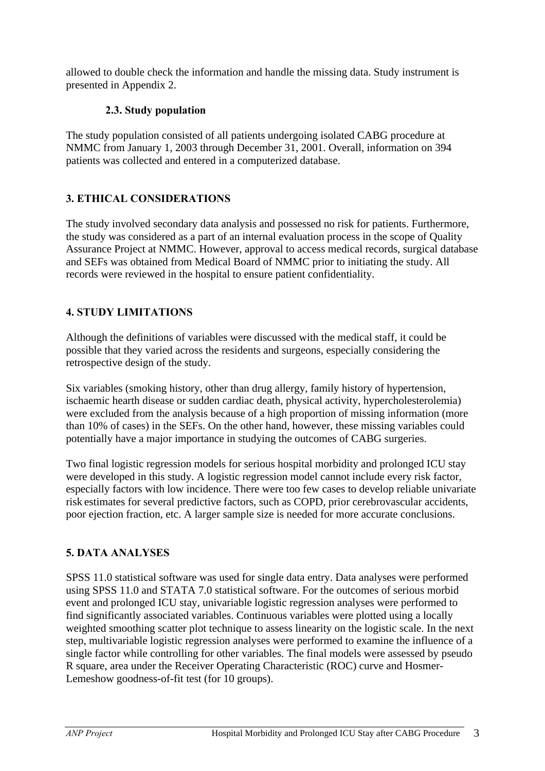allowed to double check the information and handle the missing data. Study instrument is presented in Appendix 2.

# **2.3. Study population**

The study population consisted of all patients undergoing isolated CABG procedure at NMMC from January 1, 2003 through December 31, 2001. Overall, information on 394 patients was collected and entered in a computerized database.

# **3. ETHICAL CONSIDERATIONS**

The study involved secondary data analysis and possessed no risk for patients. Furthermore, the study was considered as a part of an internal evaluation process in the scope of Quality Assurance Project at NMMC. However, approval to access medical records, surgical database and SEFs was obtained from Medical Board of NMMC prior to initiating the study. All records were reviewed in the hospital to ensure patient confidentiality.

# **4. STUDY LIMITATIONS**

Although the definitions of variables were discussed with the medical staff, it could be possible that they varied across the residents and surgeons, especially considering the retrospective design of the study.

Six variables (smoking history, other than drug allergy, family history of hypertension, ischaemic hearth disease or sudden cardiac death, physical activity, hypercholesterolemia) were excluded from the analysis because of a high proportion of missing information (more than 10% of cases) in the SEFs. On the other hand, however, these missing variables could potentially have a major importance in studying the outcomes of CABG surgeries.

Two final logistic regression models for serious hospital morbidity and prolonged ICU stay were developed in this study. A logistic regression model cannot include every risk factor, especially factors with low incidence. There were too few cases to develop reliable univariate risk estimates for several predictive factors, such as COPD, prior cerebrovascular accidents, poor ejection fraction, etc. A larger sample size is needed for more accurate conclusions.

# **5. DATA ANALYSES**

SPSS 11.0 statistical software was used for single data entry. Data analyses were performed using SPSS 11.0 and STATA 7.0 statistical software. For the outcomes of serious morbid event and prolonged ICU stay, univariable logistic regression analyses were performed to find significantly associated variables. Continuous variables were plotted using a locally weighted smoothing scatter plot technique to assess linearity on the logistic scale. In the next step, multivariable logistic regression analyses were performed to examine the influence of a single factor while controlling for other variables. The final models were assessed by pseudo R square, area under the Receiver Operating Characteristic (ROC) curve and Hosmer-Lemeshow goodness-of-fit test (for 10 groups).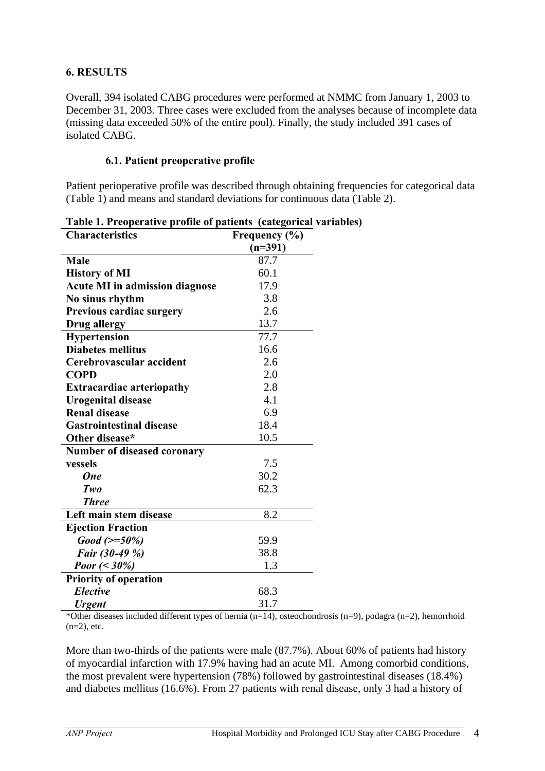#### **6. RESULTS**

Overall, 394 isolated CABG procedures were performed at NMMC from January 1, 2003 to December 31, 2003. Three cases were excluded from the analyses because of incomplete data (missing data exceeded 50% of the entire pool). Finally, the study included 391 cases of isolated CABG.

#### **6.1. Patient preoperative profile**

Patient perioperative profile was described through obtaining frequencies for categorical data (Table 1) and means and standard deviations for continuous data (Table 2).

| <b>Characteristics</b>                | Frequency (%) |
|---------------------------------------|---------------|
|                                       | $(n=391)$     |
| <b>Male</b>                           | 87.7          |
| <b>History of MI</b>                  | 60.1          |
| <b>Acute MI in admission diagnose</b> | 17.9          |
| No sinus rhythm                       | 3.8           |
| Previous cardiac surgery              | 2.6           |
| Drug allergy                          | 13.7          |
| <b>Hypertension</b>                   | 77.7          |
| <b>Diabetes mellitus</b>              | 16.6          |
| Cerebrovascular accident              | 2.6           |
| <b>COPD</b>                           | 2.0           |
| <b>Extracardiac arteriopathy</b>      | 2.8           |
| <b>Urogenital disease</b>             | 4.1           |
| <b>Renal disease</b>                  | 6.9           |
| <b>Gastrointestinal disease</b>       | 18.4          |
| Other disease*                        | 10.5          |
| <b>Number of diseased coronary</b>    |               |
| vessels                               | 7.5           |
| <b>One</b>                            | 30.2          |
| Two                                   | 62.3          |
| <b>Three</b>                          |               |
| Left main stem disease                | 8.2           |
| <b>Ejection Fraction</b>              |               |
| $Good (> = 50\%)$                     | 59.9          |
| Fair (30-49 %)                        | 38.8          |
| <i>Poor</i> (< $30\%$ )               | 1.3           |
| <b>Priority of operation</b>          |               |
| <b>Elective</b>                       | 68.3          |
| <b>Urgent</b>                         | 31.7          |

| Table 1. Preoperative profile of patients (categorical variables) |  |  |  |
|-------------------------------------------------------------------|--|--|--|
|                                                                   |  |  |  |

\*Other diseases included different types of hernia (n=14), osteochondrosis (n=9), podagra (n=2), hemorrhoid  $(n=2)$ , etc.

More than two-thirds of the patients were male (87.7%). About 60% of patients had history of myocardial infarction with 17.9% having had an acute MI. Among comorbid conditions, the most prevalent were hypertension (78%) followed by gastrointestinal diseases (18.4%) and diabetes mellitus (16.6%). From 27 patients with renal disease, only 3 had a history of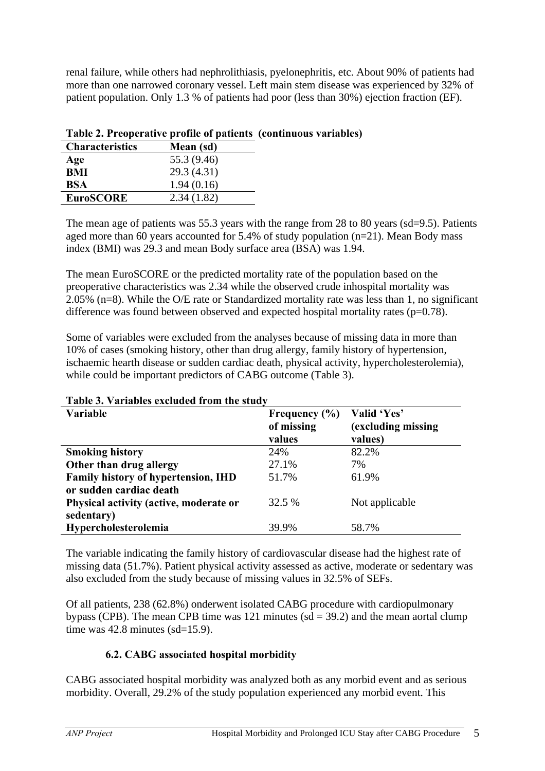renal failure, while others had nephrolithiasis, pyelonephritis, etc. About 90% of patients had more than one narrowed coronary vessel. Left main stem disease was experienced by 32% of patient population. Only 1.3 % of patients had poor (less than 30%) ejection fraction (EF).

| <b>Characteristics</b> | Mean (sd)   |
|------------------------|-------------|
| Age                    | 55.3 (9.46) |
| <b>BMI</b>             | 29.3 (4.31) |
| <b>BSA</b>             | 1.94(0.16)  |
| <b>EuroSCORE</b>       | 2.34(1.82)  |

### **Table 2. Preoperative profile of patients (continuous variables)**

The mean age of patients was 55.3 years with the range from 28 to 80 years (sd=9.5). Patients aged more than 60 years accounted for 5.4% of study population (n=21). Mean Body mass index (BMI) was 29.3 and mean Body surface area (BSA) was 1.94.

The mean EuroSCORE or the predicted mortality rate of the population based on the preoperative characteristics was 2.34 while the observed crude inhospital mortality was 2.05% (n=8). While the O/E rate or Standardized mortality rate was less than 1, no significant difference was found between observed and expected hospital mortality rates (p=0.78).

Some of variables were excluded from the analyses because of missing data in more than 10% of cases (smoking history, other than drug allergy, family history of hypertension, ischaemic hearth disease or sudden cardiac death, physical activity, hypercholesterolemia), while could be important predictors of CABG outcome (Table 3).

| Variable                               | Frequency $(\% )$<br>of missing<br>values | Valid 'Yes'<br>(excluding missing)<br>values) |
|----------------------------------------|-------------------------------------------|-----------------------------------------------|
| <b>Smoking history</b>                 | 24%                                       | 82.2%                                         |
| Other than drug allergy                | 27.1%                                     | 7%                                            |
| Family history of hypertension, IHD    | 51.7%                                     | 61.9%                                         |
| or sudden cardiac death                |                                           |                                               |
| Physical activity (active, moderate or | 32.5 %                                    | Not applicable                                |
| sedentary)                             |                                           |                                               |
| Hypercholesterolemia                   | 39.9%                                     | 58.7%                                         |

#### **Table 3. Variables excluded from the study**

The variable indicating the family history of cardiovascular disease had the highest rate of missing data (51.7%). Patient physical activity assessed as active, moderate or sedentary was also excluded from the study because of missing values in 32.5% of SEFs.

Of all patients, 238 (62.8%) onderwent isolated CABG procedure with cardiopulmonary bypass (CPB). The mean CPB time was 121 minutes  $sd = 39.2$ ) and the mean aortal clump time was 42.8 minutes (sd=15.9).

# **6.2. CABG associated hospital morbidity**

CABG associated hospital morbidity was analyzed both as any morbid event and as serious morbidity. Overall, 29.2% of the study population experienced any morbid event. This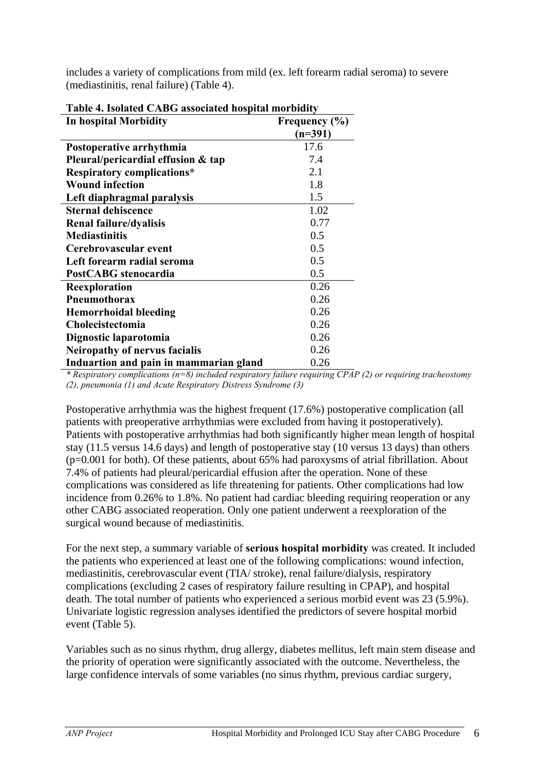| Table 4. Isolated CABG associated hospital morbidity |                   |  |  |  |
|------------------------------------------------------|-------------------|--|--|--|
| In hospital Morbidity                                | Frequency $(\% )$ |  |  |  |
|                                                      | $(n=391)$         |  |  |  |
| Postoperative arrhythmia                             | 17.6              |  |  |  |
| Pleural/pericardial effusion & tap                   | 7.4               |  |  |  |
| <b>Respiratory complications*</b>                    | 2.1               |  |  |  |
| <b>Wound infection</b>                               | 1.8               |  |  |  |
| Left diaphragmal paralysis                           | 1.5               |  |  |  |
| <b>Sternal dehiscence</b>                            | 1.02              |  |  |  |
| Renal failure/dyalisis                               | 0.77              |  |  |  |
| <b>Mediastinitis</b>                                 | 0.5               |  |  |  |
| Cerebrovascular event                                | 0.5               |  |  |  |
| Left forearm radial seroma                           | 0.5               |  |  |  |
| PostCABG stenocardia                                 | 0.5               |  |  |  |
| Reexploration                                        | 0.26              |  |  |  |
| Pneumothorax                                         | 0.26              |  |  |  |
| <b>Hemorrhoidal bleeding</b>                         | 0.26              |  |  |  |
| Cholecistectomia                                     | 0.26              |  |  |  |
| Dignostic laparotomia                                | 0.26              |  |  |  |
| Neiropathy of nervus facialis                        | 0.26              |  |  |  |
| Induartion and pain in mammarian gland               | 0.26              |  |  |  |

includes a variety of complications from mild (ex. left forearm radial seroma) to severe (mediastinitis, renal failure) (Table 4).

*\* Respiratory complications (n=8) included respiratory failure requiring CPAP (2) or requiring tracheostomy (2), pneumonia (1) and Acute Respiratory Distress Syndrome (3)*

Postoperative arrhythmia was the highest frequent (17.6%) postoperative complication (all patients with preoperative arrhythmias were excluded from having it postoperatively). Patients with postoperative arrhythmias had both significantly higher mean length of hospital stay (11.5 versus 14.6 days) and length of postoperative stay (10 versus 13 days) than others (p=0.001 for both). Of these patients, about 65% had paroxysms of atrial fibrillation. About 7.4% of patients had pleural/pericardial effusion after the operation. None of these complications was considered as life threatening for patients. Other complications had low incidence from 0.26% to 1.8%. No patient had cardiac bleeding requiring reoperation or any other CABG associated reoperation. Only one patient underwent a reexploration of the surgical wound because of mediastinitis.

For the next step, a summary variable of **serious hospital morbidity** was created. It included the patients who experienced at least one of the following complications: wound infection, mediastinitis, cerebrovascular event (TIA/ stroke), renal failure/dialysis, respiratory complications (excluding 2 cases of respiratory failure resulting in CPAP), and hospital death. The total number of patients who experienced a serious morbid event was 23 (5.9%). Univariate logistic regression analyses identified the predictors of severe hospital morbid event (Table 5).

Variables such as no sinus rhythm, drug allergy, diabetes mellitus, left main stem disease and the priority of operation were significantly associated with the outcome. Nevertheless, the large confidence intervals of some variables (no sinus rhythm, previous cardiac surgery,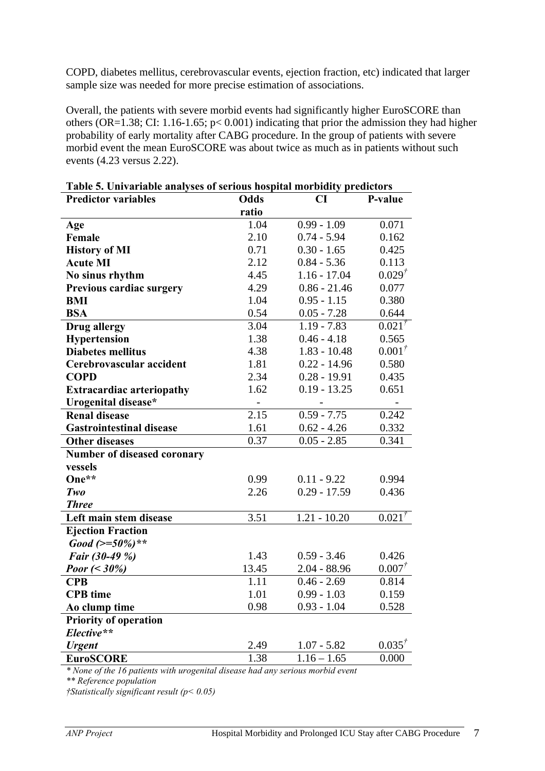COPD, diabetes mellitus, cerebrovascular events, ejection fraction, etc) indicated that larger sample size was needed for more precise estimation of associations.

Overall, the patients with severe morbid events had significantly higher EuroSCORE than others (OR=1.38; CI: 1.16-1.65; p< 0.001) indicating that prior the admission they had higher probability of early mortality after CABG procedure. In the group of patients with severe morbid event the mean EuroSCORE was about twice as much as in patients without such events (4.23 versus 2.22).

| <b>Predictor variables</b>       | <b>Odds</b>       | CI                       | P-value     |
|----------------------------------|-------------------|--------------------------|-------------|
|                                  | ratio             |                          |             |
| Age                              | 1.04              | $\overline{0.99}$ - 1.09 | 0.071       |
| Female                           | 2.10              | $0.74 - 5.94$            | 0.162       |
| <b>History of MI</b>             | 0.71              | $0.30 - 1.65$            | 0.425       |
| <b>Acute MI</b>                  | 2.12              | $0.84 - 5.36$            | 0.113       |
| No sinus rhythm                  | 4.45              | $1.16 - 17.04$           | $0.029^{t}$ |
| Previous cardiac surgery         | 4.29              | $0.86 - 21.46$           | 0.077       |
| <b>BMI</b>                       | 1.04              | $0.95 - 1.15$            | 0.380       |
| <b>BSA</b>                       | 0.54              | $0.05 - 7.28$            | 0.644       |
| <b>Drug allergy</b>              | 3.04              | $1.19 - 7.83$            | $0.021^{t}$ |
| Hypertension                     | 1.38              | $0.46 - 4.18$            | 0.565       |
| <b>Diabetes mellitus</b>         | 4.38              | $1.83 - 10.48$           | $0.001^{t}$ |
| Cerebrovascular accident         | 1.81              | $0.22 - 14.96$           | 0.580       |
| <b>COPD</b>                      | 2.34              | $0.28 - 19.91$           | 0.435       |
| <b>Extracardiac arteriopathy</b> | 1.62              | $0.19 - 13.25$           | 0.651       |
| Urogenital disease*              | $\qquad \qquad -$ |                          |             |
| <b>Renal disease</b>             | 2.15              | $0.59 - 7.75$            | 0.242       |
| <b>Gastrointestinal disease</b>  | 1.61              | $0.62 - 4.26$            | 0.332       |
| <b>Other diseases</b>            | 0.37              | $0.05 - 2.85$            | 0.341       |
| Number of diseased coronary      |                   |                          |             |
| vessels                          |                   |                          |             |
| One**                            | 0.99              | $0.11 - 9.22$            | 0.994       |
| Two                              | 2.26              | $0.29 - 17.59$           | 0.436       |
| <b>Three</b>                     |                   |                          |             |
| Left main stem disease           | 3.51              | $1.21 - 10.20$           | $0.021^{t}$ |
| <b>Ejection Fraction</b>         |                   |                          |             |
| Good $(>=50\%)**$                |                   |                          |             |
| Fair (30-49 %)                   | 1.43              | $0.59 - 3.46$            | 0.426       |
| <i>Poor</i> (< $30\%$ )          | 13.45             | $2.04 - 88.96$           | $0.007^{t}$ |
| <b>CPB</b>                       | 1.11              | $0.46 - 2.69$            | 0.814       |
| <b>CPB</b> time                  | 1.01              | $0.99 - 1.03$            | 0.159       |
| Ao clump time                    | 0.98              | $0.93 - 1.04$            | 0.528       |
| <b>Priority of operation</b>     |                   |                          |             |
| Elective**                       |                   |                          |             |
| <b>Urgent</b>                    | 2.49              | $1.07 - 5.82$            | $0.035^{t}$ |
| <b>EuroSCORE</b>                 | 1.38              | $1.16 - 1.65$            | 0.000       |
|                                  |                   |                          |             |

| Table 5. Univariable analyses of serious hospital morbidity predictors |  |
|------------------------------------------------------------------------|--|
|------------------------------------------------------------------------|--|

*\* None of the 16 patients with urogenital disease had any serious morbid event*

*\*\* Reference population* 

*†Statistically significant result (p< 0.05)*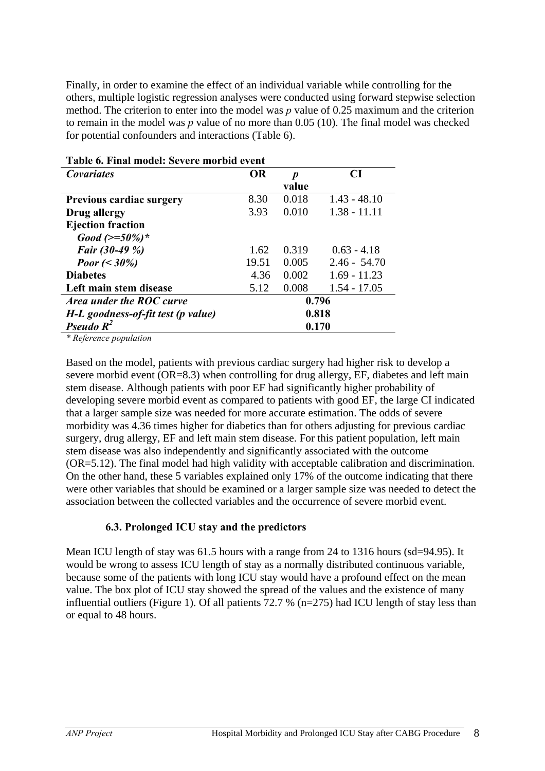Finally, in order to examine the effect of an individual variable while controlling for the others, multiple logistic regression analyses were conducted using forward stepwise selection method. The criterion to enter into the model was *p* value of 0.25 maximum and the criterion to remain in the model was *p* value of no more than 0.05 (10). The final model was checked for potential confounders and interactions (Table 6).

| Table 6. Final model: Severe morbid event |           |                  |                |  |  |  |
|-------------------------------------------|-----------|------------------|----------------|--|--|--|
| <i>Covariates</i>                         | <b>OR</b> | $\boldsymbol{p}$ | CI             |  |  |  |
|                                           |           | value            |                |  |  |  |
| <b>Previous cardiac surgery</b>           | 8.30      | 0.018            | $1.43 - 48.10$ |  |  |  |
| Drug allergy                              | 3.93      | 0.010            | $1.38 - 11.11$ |  |  |  |
| <b>Ejection fraction</b>                  |           |                  |                |  |  |  |
| Good $(>=50\%)^*$                         |           |                  |                |  |  |  |
| Fair (30-49 %)                            | 1.62      | 0.319            | $0.63 - 4.18$  |  |  |  |
| <i>Poor</i> (< $30\%$ )                   | 19.51     | 0.005            | $2.46 - 54.70$ |  |  |  |
| <b>Diabetes</b>                           | 4.36      | 0.002            | $1.69 - 11.23$ |  |  |  |
| Left main stem disease                    | 5.12      | 0.008            | $1.54 - 17.05$ |  |  |  |
| Area under the ROC curve                  | 0.796     |                  |                |  |  |  |
| H-L goodness-of-fit test (p value)        | 0.818     |                  |                |  |  |  |
| Pseudo $R^2$                              | 0.170     |                  |                |  |  |  |

*\* Reference population*

Based on the model, patients with previous cardiac surgery had higher risk to develop a severe morbid event (OR=8.3) when controlling for drug allergy, EF, diabetes and left main stem disease. Although patients with poor EF had significantly higher probability of developing severe morbid event as compared to patients with good EF, the large CI indicated that a larger sample size was needed for more accurate estimation. The odds of severe morbidity was 4.36 times higher for diabetics than for others adjusting for previous cardiac surgery, drug allergy, EF and left main stem disease. For this patient population, left main stem disease was also independently and significantly associated with the outcome (OR=5.12). The final model had high validity with acceptable calibration and discrimination. On the other hand, these 5 variables explained only 17% of the outcome indicating that there were other variables that should be examined or a larger sample size was needed to detect the association between the collected variables and the occurrence of severe morbid event.

#### **6.3. Prolonged ICU stay and the predictors**

Mean ICU length of stay was 61.5 hours with a range from 24 to 1316 hours (sd=94.95). It would be wrong to assess ICU length of stay as a normally distributed continuous variable, because some of the patients with long ICU stay would have a profound effect on the mean value. The box plot of ICU stay showed the spread of the values and the existence of many influential outliers (Figure 1). Of all patients 72.7 % (n=275) had ICU length of stay less than or equal to 48 hours.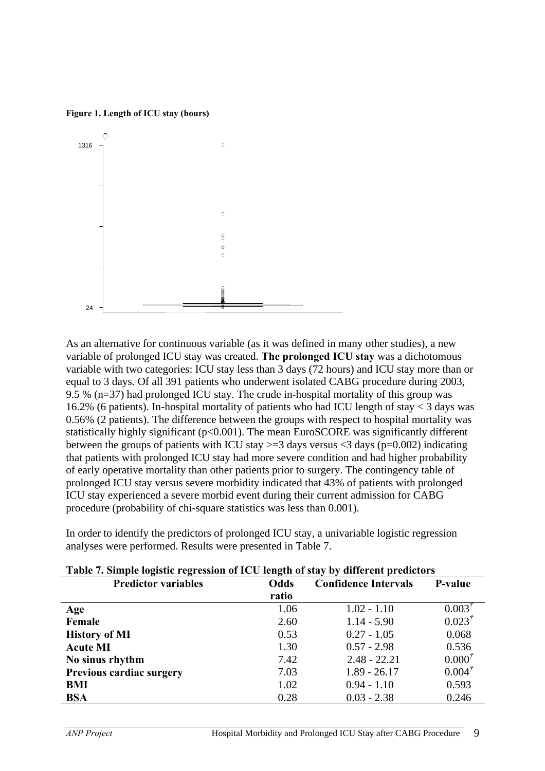

**Figure 1. Length of ICU stay (hours)**

As an alternative for continuous variable (as it was defined in many other studies), a new variable of prolonged ICU stay was created. **The prolonged ICU stay** was a dichotomous variable with two categories: ICU stay less than 3 days (72 hours) and ICU stay more than or equal to 3 days. Of all 391 patients who underwent isolated CABG procedure during 2003, 9.5 % (n=37) had prolonged ICU stay. The crude in-hospital mortality of this group was 16.2% (6 patients). In-hospital mortality of patients who had ICU length of stay < 3 days was 0.56% (2 patients). The difference between the groups with respect to hospital mortality was statistically highly significant ( $p<0.001$ ). The mean EuroSCORE was significantly different between the groups of patients with ICU stay  $>=$  3 days versus  $<$  3 days (p=0.002) indicating that patients with prolonged ICU stay had more severe condition and had higher probability of early operative mortality than other patients prior to surgery. The contingency table of prolonged ICU stay versus severe morbidity indicated that 43% of patients with prolonged ICU stay experienced a severe morbid event during their current admission for CABG procedure (probability of chi-square statistics was less than 0.001).

In order to identify the predictors of prolonged ICU stay, a univariable logistic regression analyses were performed. Results were presented in Table 7.

| Table 7. Shipit logistic regression of TCO tength of stay by uniterent predictors |             |                             |                |  |  |
|-----------------------------------------------------------------------------------|-------------|-----------------------------|----------------|--|--|
| <b>Predictor variables</b>                                                        | <b>Odds</b> | <b>Confidence Intervals</b> | <b>P-value</b> |  |  |
|                                                                                   | ratio       |                             |                |  |  |
| Age                                                                               | 1.06        | $1.02 - 1.10$               | $0.003^{7}$    |  |  |
| Female                                                                            | 2.60        | $1.14 - 5.90$               | $0.023^{t}$    |  |  |
| <b>History of MI</b>                                                              | 0.53        | $0.27 - 1.05$               | 0.068          |  |  |
| <b>Acute MI</b>                                                                   | 1.30        | $0.57 - 2.98$               | 0.536          |  |  |
| No sinus rhythm                                                                   | 7.42        | $2.48 - 22.21$              | $0.000^{7}$    |  |  |
| <b>Previous cardiac surgery</b>                                                   | 7.03        | $1.89 - 26.17$              | $0.004^{7}$    |  |  |
| BMI                                                                               | 1.02        | $0.94 - 1.10$               | 0.593          |  |  |
| <b>BSA</b>                                                                        | 0.28        | $0.03 - 2.38$               | 0.246          |  |  |

#### **Table 7. Simple logistic regression of ICU length of stay by different predictors**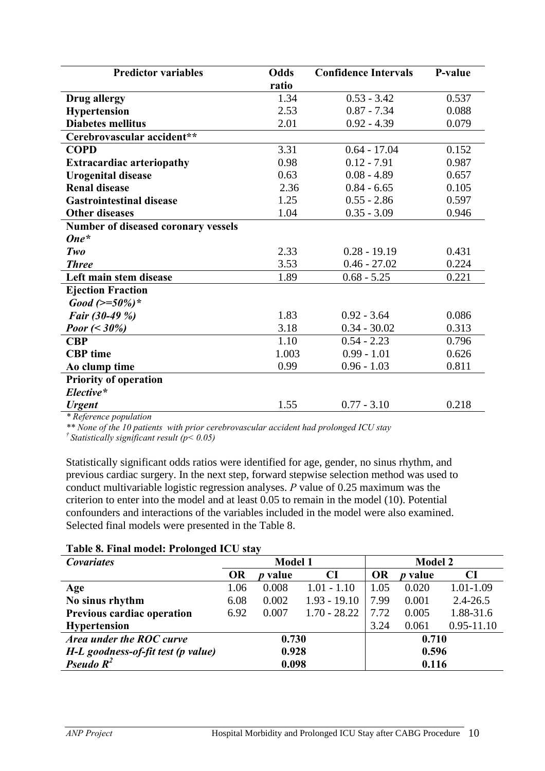| <b>Predictor variables</b>          | Odds  | <b>Confidence Intervals</b> | P-value |
|-------------------------------------|-------|-----------------------------|---------|
|                                     | ratio |                             |         |
| Drug allergy                        | 1.34  | $0.53 - 3.42$               | 0.537   |
| <b>Hypertension</b>                 | 2.53  | $0.87 - 7.34$               | 0.088   |
| <b>Diabetes mellitus</b>            | 2.01  | $0.92 - 4.39$               | 0.079   |
| Cerebrovascular accident**          |       |                             |         |
| <b>COPD</b>                         | 3.31  | $0.64 - 17.04$              | 0.152   |
| <b>Extracardiac arteriopathy</b>    | 0.98  | $0.12 - 7.91$               | 0.987   |
| <b>Urogenital disease</b>           | 0.63  | $0.08 - 4.89$               | 0.657   |
| <b>Renal disease</b>                | 2.36  | $0.84 - 6.65$               | 0.105   |
| <b>Gastrointestinal disease</b>     | 1.25  | $0.55 - 2.86$               | 0.597   |
| <b>Other diseases</b>               | 1.04  | $0.35 - 3.09$               | 0.946   |
| Number of diseased coronary vessels |       |                             |         |
| $One*$                              |       |                             |         |
| Two                                 | 2.33  | $0.28 - 19.19$              | 0.431   |
| <b>Three</b>                        | 3.53  | $0.46 - 27.02$              | 0.224   |
| Left main stem disease              | 1.89  | $0.68 - 5.25$               | 0.221   |
| <b>Ejection Fraction</b>            |       |                             |         |
| Good $(>=50\%)^*$                   |       |                             |         |
| Fair (30-49 %)                      | 1.83  | $0.92 - 3.64$               | 0.086   |
| <i>Poor</i> (< $30\%$ )             | 3.18  | $0.34 - 30.02$              | 0.313   |
| <b>CBP</b>                          | 1.10  | $0.54 - 2.23$               | 0.796   |
| <b>CBP</b> time                     | 1.003 | $0.99 - 1.01$               | 0.626   |
| Ao clump time                       | 0.99  | $0.96 - 1.03$               | 0.811   |
| <b>Priority of operation</b>        |       |                             |         |
| Elective*                           |       |                             |         |
| <b>Urgent</b>                       | 1.55  | $0.77 - 3.10$               | 0.218   |

*\* Reference population*

*\*\* None of the 10 patients with prior cerebrovascular accident had prolonged ICU stay † Statistically significant result (p< 0.05)*

Statistically significant odds ratios were identified for age, gender, no sinus rhythm, and previous cardiac surgery. In the next step, forward stepwise selection method was used to conduct multivariable logistic regression analyses. *P* value of 0.25 maximum was the criterion to enter into the model and at least 0.05 to remain in the model (10). Potential confounders and interactions of the variables included in the model were also examined. Selected final models were presented in the Table 8.

#### **Table 8. Final model: Prolonged ICU stay**

| <b>Covariates</b>                  | <b>Model 1</b> |                |                | <b>Model 2</b> |                |                |
|------------------------------------|----------------|----------------|----------------|----------------|----------------|----------------|
|                                    | <b>OR</b>      | <i>p</i> value | CI             | <b>OR</b>      | <i>p</i> value | <b>CI</b>      |
| Age                                | 1.06           | 0.008          | $1.01 - 1.10$  | 1.05           | 0.020          | 1.01-1.09      |
| No sinus rhythm                    | 6.08           | 0.002          | $1.93 - 19.10$ | 7.99           | 0.001          | $2.4 - 26.5$   |
| Previous cardiac operation         | 6.92           | 0.007          | $1.70 - 28.22$ | 7.72           | 0.005          | 1.88-31.6      |
| <b>Hypertension</b>                |                |                |                | 3.24           | 0.061          | $0.95 - 11.10$ |
| Area under the ROC curve           | 0.730          |                |                | 0.710          |                |                |
| H-L goodness-of-fit test (p value) | 0.928          |                | 0.596          |                |                |                |
| Pseudo $R^2$                       | 0.098          |                |                | 0.116          |                |                |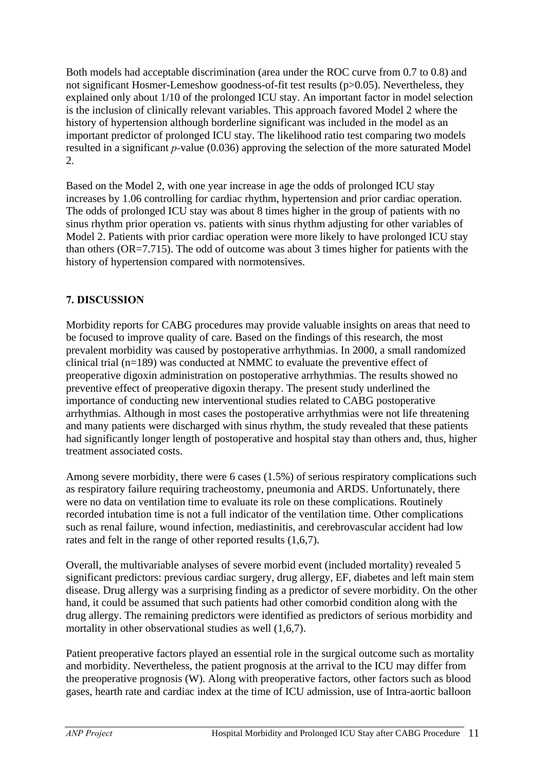Both models had acceptable discrimination (area under the ROC curve from 0.7 to 0.8) and not significant Hosmer-Lemeshow goodness-of-fit test results (p>0.05). Nevertheless, they explained only about 1/10 of the prolonged ICU stay. An important factor in model selection is the inclusion of clinically relevant variables. This approach favored Model 2 where the history of hypertension although borderline significant was included in the model as an important predictor of prolonged ICU stay. The likelihood ratio test comparing two models resulted in a significant *p-*value (0.036) approving the selection of the more saturated Model 2.

Based on the Model 2, with one year increase in age the odds of prolonged ICU stay increases by 1.06 controlling for cardiac rhythm, hypertension and prior cardiac operation. The odds of prolonged ICU stay was about 8 times higher in the group of patients with no sinus rhythm prior operation vs. patients with sinus rhythm adjusting for other variables of Model 2. Patients with prior cardiac operation were more likely to have prolonged ICU stay than others (OR=7.715). The odd of outcome was about 3 times higher for patients with the history of hypertension compared with normotensives.

# **7. DISCUSSION**

Morbidity reports for CABG procedures may provide valuable insights on areas that need to be focused to improve quality of care. Based on the findings of this research, the most prevalent morbidity was caused by postoperative arrhythmias. In 2000, a small randomized clinical trial (n=189) was conducted at NMMC to evaluate the preventive effect of preoperative digoxin administration on postoperative arrhythmias. The results showed no preventive effect of preoperative digoxin therapy. The present study underlined the importance of conducting new interventional studies related to CABG postoperative arrhythmias. Although in most cases the postoperative arrhythmias were not life threatening and many patients were discharged with sinus rhythm, the study revealed that these patients had significantly longer length of postoperative and hospital stay than others and, thus, higher treatment associated costs.

Among severe morbidity, there were 6 cases (1.5%) of serious respiratory complications such as respiratory failure requiring tracheostomy, pneumonia and ARDS. Unfortunately, there were no data on ventilation time to evaluate its role on these complications. Routinely recorded intubation time is not a full indicator of the ventilation time. Other complications such as renal failure, wound infection, mediastinitis, and cerebrovascular accident had low rates and felt in the range of other reported results (1,6,7).

Overall, the multivariable analyses of severe morbid event (included mortality) revealed 5 significant predictors: previous cardiac surgery, drug allergy, EF, diabetes and left main stem disease. Drug allergy was a surprising finding as a predictor of severe morbidity. On the other hand, it could be assumed that such patients had other comorbid condition along with the drug allergy. The remaining predictors were identified as predictors of serious morbidity and mortality in other observational studies as well  $(1,6,7)$ .

Patient preoperative factors played an essential role in the surgical outcome such as mortality and morbidity. Nevertheless, the patient prognosis at the arrival to the ICU may differ from the preoperative prognosis (W). Along with preoperative factors, other factors such as blood gases, hearth rate and cardiac index at the time of ICU admission, use of Intra-aortic balloon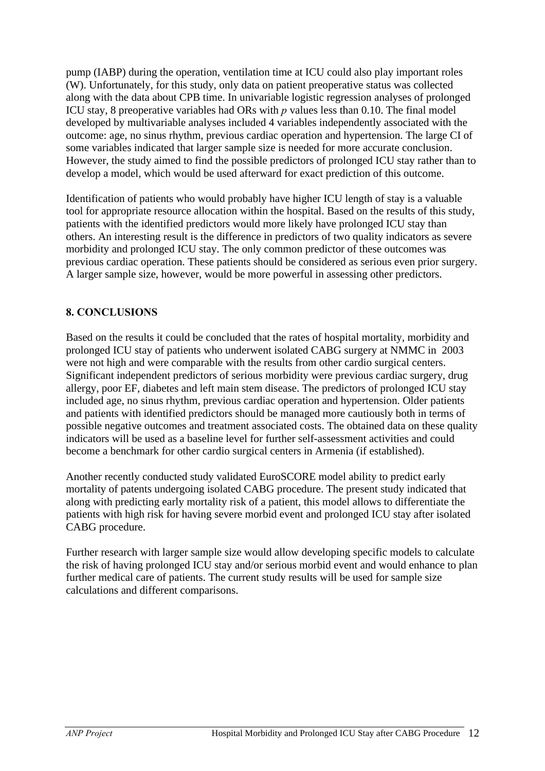pump (IABP) during the operation, ventilation time at ICU could also play important roles (W). Unfortunately, for this study, only data on patient preoperative status was collected along with the data about CPB time. In univariable logistic regression analyses of prolonged ICU stay, 8 preoperative variables had ORs with *p* values less than 0.10. The final model developed by multivariable analyses included 4 variables independently associated with the outcome: age, no sinus rhythm, previous cardiac operation and hypertension. The large CI of some variables indicated that larger sample size is needed for more accurate conclusion. However, the study aimed to find the possible predictors of prolonged ICU stay rather than to develop a model, which would be used afterward for exact prediction of this outcome.

Identification of patients who would probably have higher ICU length of stay is a valuable tool for appropriate resource allocation within the hospital. Based on the results of this study, patients with the identified predictors would more likely have prolonged ICU stay than others. An interesting result is the difference in predictors of two quality indicators as severe morbidity and prolonged ICU stay. The only common predictor of these outcomes was previous cardiac operation. These patients should be considered as serious even prior surgery. A larger sample size, however, would be more powerful in assessing other predictors.

#### **8. CONCLUSIONS**

Based on the results it could be concluded that the rates of hospital mortality, morbidity and prolonged ICU stay of patients who underwent isolated CABG surgery at NMMC in 2003 were not high and were comparable with the results from other cardio surgical centers. Significant independent predictors of serious morbidity were previous cardiac surgery, drug allergy, poor EF, diabetes and left main stem disease. The predictors of prolonged ICU stay included age, no sinus rhythm, previous cardiac operation and hypertension. Older patients and patients with identified predictors should be managed more cautiously both in terms of possible negative outcomes and treatment associated costs. The obtained data on these quality indicators will be used as a baseline level for further self-assessment activities and could become a benchmark for other cardio surgical centers in Armenia (if established).

Another recently conducted study validated EuroSCORE model ability to predict early mortality of patents undergoing isolated CABG procedure. The present study indicated that along with predicting early mortality risk of a patient, this model allows to differentiate the patients with high risk for having severe morbid event and prolonged ICU stay after isolated CABG procedure.

Further research with larger sample size would allow developing specific models to calculate the risk of having prolonged ICU stay and/or serious morbid event and would enhance to plan further medical care of patients. The current study results will be used for sample size calculations and different comparisons.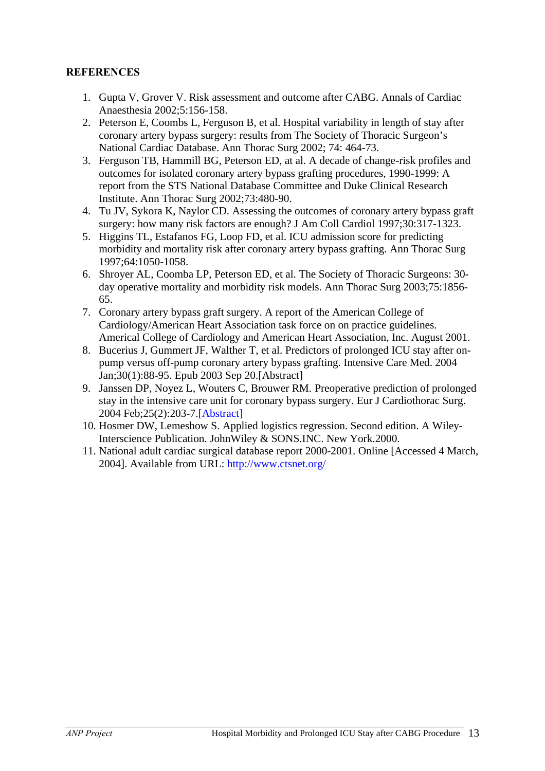#### **REFERENCES**

- 1. Gupta V, Grover V. Risk assessment and outcome after CABG. Annals of Cardiac Anaesthesia 2002;5:156-158.
- 2. Peterson E, Coombs L, Ferguson B, et al. Hospital variability in length of stay after coronary artery bypass surgery: results from The Society of Thoracic Surgeon's National Cardiac Database. Ann Thorac Surg 2002; 74: 464-73.
- 3. Ferguson TB, Hammill BG, Peterson ED, at al. A decade of change-risk profiles and outcomes for isolated coronary artery bypass grafting procedures, 1990-1999: A report from the STS National Database Committee and Duke Clinical Research Institute. Ann Thorac Surg 2002;73:480-90.
- 4. Tu JV, Sykora K, Naylor CD. Assessing the outcomes of coronary artery bypass graft surgery: how many risk factors are enough? J Am Coll Cardiol 1997;30:317-1323.
- 5. Higgins TL, Estafanos FG, Loop FD, et al. ICU admission score for predicting morbidity and mortality risk after coronary artery bypass grafting. Ann Thorac Surg 1997;64:1050-1058.
- 6. Shroyer AL, Coomba LP, Peterson ED, et al. The Society of Thoracic Surgeons: 30 day operative mortality and morbidity risk models. Ann Thorac Surg 2003;75:1856- 65.
- 7. Coronary artery bypass graft surgery. A report of the American College of Cardiology/American Heart Association task force on on practice guidelines. Americal College of Cardiology and American Heart Association, Inc. August 2001.
- 8. Bucerius J, Gummert JF, Walther T, et al. Predictors of prolonged ICU stay after onpump versus off-pump coronary artery bypass grafting. Intensive Care Med. 2004 Jan;30(1):88-95. Epub 2003 Sep 20.[Abstract]
- 9. Janssen DP, Noyez L, Wouters C, Brouwer RM. Preoperative prediction of prolonged stay in the intensive care unit for coronary bypass surgery. Eur J Cardiothorac Surg. 2004 Feb;25(2):203-7.[Abstract]
- 10. Hosmer DW, Lemeshow S. Applied logistics regression. Second edition. A Wiley-Interscience Publication. JohnWiley & SONS.INC. New York.2000.
- 11. National adult cardiac surgical database report 2000-2001. Online [Accessed 4 March, 2004]. Available from URL: http://www.ctsnet.org/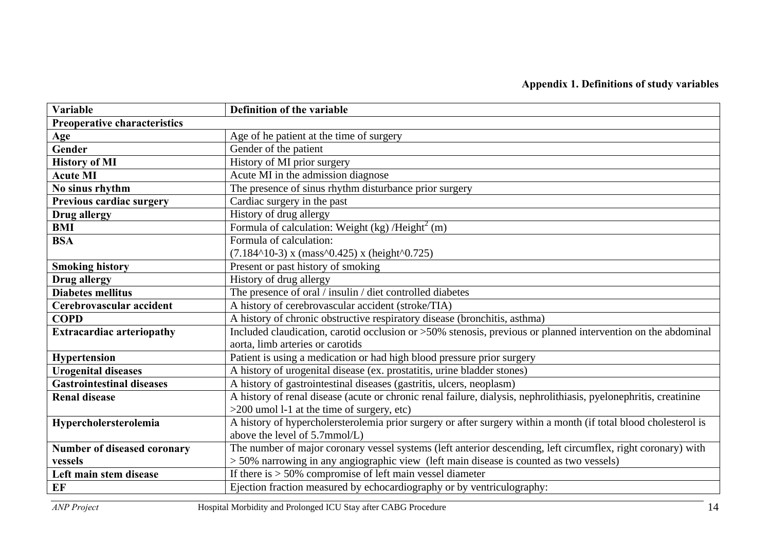### **Appendix 1. Definitions of study variables**

| Variable                            | Definition of the variable                                                                                                                       |
|-------------------------------------|--------------------------------------------------------------------------------------------------------------------------------------------------|
| <b>Preoperative characteristics</b> |                                                                                                                                                  |
| Age                                 | Age of he patient at the time of surgery                                                                                                         |
| Gender                              | Gender of the patient                                                                                                                            |
| <b>History of MI</b>                | History of MI prior surgery                                                                                                                      |
| <b>Acute MI</b>                     | Acute MI in the admission diagnose                                                                                                               |
| No sinus rhythm                     | The presence of sinus rhythm disturbance prior surgery                                                                                           |
| <b>Previous cardiac surgery</b>     | Cardiac surgery in the past                                                                                                                      |
| Drug allergy                        | History of drug allergy                                                                                                                          |
| <b>BMI</b>                          | Formula of calculation: Weight (kg) /Height <sup>2</sup> (m)                                                                                     |
| <b>BSA</b>                          | Formula of calculation:                                                                                                                          |
|                                     | $(7.184110-3)$ x (mass <sup>1</sup> 0.425) x (height <sup>1</sup> 0.725)                                                                         |
| <b>Smoking history</b>              | Present or past history of smoking                                                                                                               |
| <b>Drug allergy</b>                 | History of drug allergy                                                                                                                          |
| <b>Diabetes mellitus</b>            | The presence of oral / insulin / diet controlled diabetes                                                                                        |
| Cerebrovascular accident            | A history of cerebrovascular accident (stroke/TIA)                                                                                               |
| <b>COPD</b>                         | A history of chronic obstructive respiratory disease (bronchitis, asthma)                                                                        |
| <b>Extracardiac arteriopathy</b>    | Included claudication, carotid occlusion or >50% stenosis, previous or planned intervention on the abdominal<br>aorta, limb arteries or carotids |
| Hypertension                        | Patient is using a medication or had high blood pressure prior surgery                                                                           |
| <b>Urogenital diseases</b>          | A history of urogenital disease (ex. prostatitis, urine bladder stones)                                                                          |
| <b>Gastrointestinal diseases</b>    | A history of gastrointestinal diseases (gastritis, ulcers, neoplasm)                                                                             |
| <b>Renal disease</b>                | A history of renal disease (acute or chronic renal failure, dialysis, nephrolithiasis, pyelonephritis, creatinine                                |
|                                     | $>200$ umol 1-1 at the time of surgery, etc)                                                                                                     |
| Hypercholersterolemia               | A history of hypercholersterolemia prior surgery or after surgery within a month (if total blood cholesterol is                                  |
|                                     | above the level of 5.7mmol/L)                                                                                                                    |
| Number of diseased coronary         | The number of major coronary vessel systems (left anterior descending, left circumflex, right coronary) with                                     |
| vessels                             | > 50% narrowing in any angiographic view (left main disease is counted as two vessels)                                                           |
| Left main stem disease              | If there is $> 50\%$ compromise of left main vessel diameter                                                                                     |
| EF                                  | Ejection fraction measured by echocardiography or by ventriculography:                                                                           |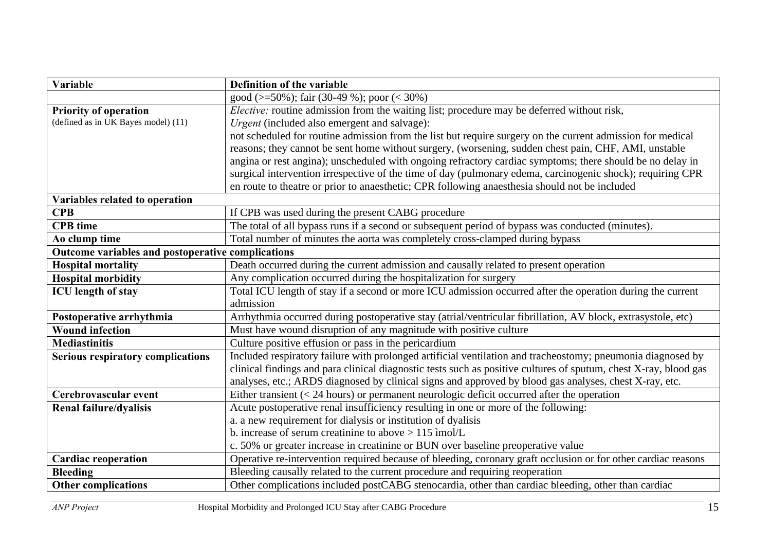| Variable                                          | Definition of the variable                                                                                       |
|---------------------------------------------------|------------------------------------------------------------------------------------------------------------------|
|                                                   | good (>=50%); fair (30-49 %); poor (< 30%)                                                                       |
| <b>Priority of operation</b>                      | <i>Elective:</i> routine admission from the waiting list; procedure may be deferred without risk,                |
| (defined as in UK Bayes model) (11)               | Urgent (included also emergent and salvage):                                                                     |
|                                                   | not scheduled for routine admission from the list but require surgery on the current admission for medical       |
|                                                   | reasons; they cannot be sent home without surgery, (worsening, sudden chest pain, CHF, AMI, unstable             |
|                                                   | angina or rest angina); unscheduled with ongoing refractory cardiac symptoms; there should be no delay in        |
|                                                   | surgical intervention irrespective of the time of day (pulmonary edema, carcinogenic shock); requiring CPR       |
|                                                   | en route to theatre or prior to anaesthetic; CPR following anaesthesia should not be included                    |
| Variables related to operation                    |                                                                                                                  |
| <b>CPB</b>                                        | If CPB was used during the present CABG procedure                                                                |
| <b>CPB</b> time                                   | The total of all bypass runs if a second or subsequent period of bypass was conducted (minutes).                 |
| Ao clump time                                     | Total number of minutes the aorta was completely cross-clamped during bypass                                     |
| Outcome variables and postoperative complications |                                                                                                                  |
| <b>Hospital mortality</b>                         | Death occurred during the current admission and causally related to present operation                            |
| <b>Hospital morbidity</b>                         | Any complication occurred during the hospitalization for surgery                                                 |
| <b>ICU</b> length of stay                         | Total ICU length of stay if a second or more ICU admission occurred after the operation during the current       |
|                                                   | admission                                                                                                        |
| Postoperative arrhythmia                          | Arrhythmia occurred during postoperative stay (atrial/ventricular fibrillation, AV block, extrasystole, etc)     |
| <b>Wound infection</b>                            | Must have wound disruption of any magnitude with positive culture                                                |
| <b>Mediastinitis</b>                              | Culture positive effusion or pass in the pericardium                                                             |
| <b>Serious respiratory complications</b>          | Included respiratory failure with prolonged artificial ventilation and tracheostomy; pneumonia diagnosed by      |
|                                                   | clinical findings and para clinical diagnostic tests such as positive cultures of sputum, chest X-ray, blood gas |
|                                                   | analyses, etc.; ARDS diagnosed by clinical signs and approved by blood gas analyses, chest X-ray, etc.           |
| Cerebrovascular event                             | Either transient $(< 24$ hours) or permanent neurologic deficit occurred after the operation                     |
| Renal failure/dyalisis                            | Acute postoperative renal insufficiency resulting in one or more of the following:                               |
|                                                   | a. a new requirement for dialysis or institution of dyalisis                                                     |
|                                                   | b. increase of serum creatinine to above $> 115$ imol/L                                                          |
|                                                   | c. 50% or greater increase in creatinine or BUN over baseline preoperative value                                 |
| <b>Cardiac reoperation</b>                        | Operative re-intervention required because of bleeding, coronary graft occlusion or for other cardiac reasons    |
| <b>Bleeding</b>                                   | Bleeding causally related to the current procedure and requiring reoperation                                     |
| <b>Other complications</b>                        | Other complications included postCABG stenocardia, other than cardiac bleeding, other than cardiac               |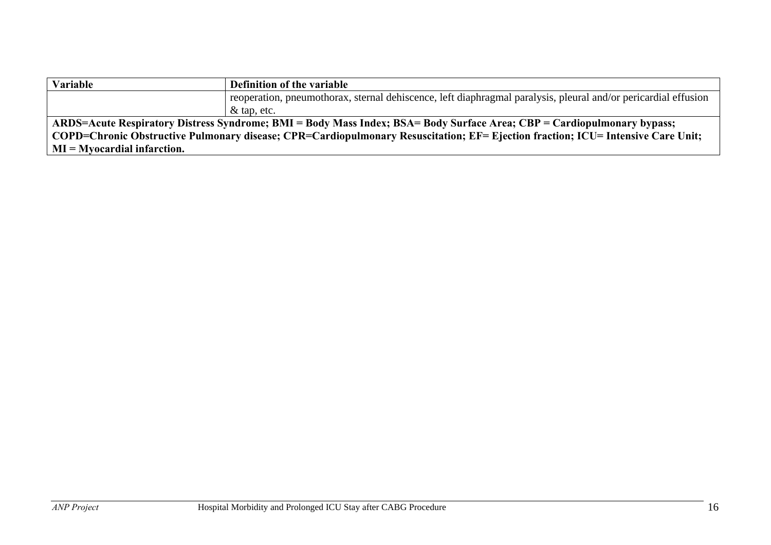| Variable                                                                                                                        | Definition of the variable                                                                                     |
|---------------------------------------------------------------------------------------------------------------------------------|----------------------------------------------------------------------------------------------------------------|
|                                                                                                                                 | reoperation, pneumothorax, sternal dehiscence, left diaphragmal paralysis, pleural and/or pericardial effusion |
|                                                                                                                                 | $\&$ tap, etc.                                                                                                 |
| ARDS=Acute Respiratory Distress Syndrome; BMI = Body Mass Index; BSA= Body Surface Area; CBP = Cardiopulmonary bypass;          |                                                                                                                |
| COPD=Chronic Obstructive Pulmonary disease; CPR=Cardiopulmonary Resuscitation; EF= Ejection fraction; ICU= Intensive Care Unit; |                                                                                                                |
| $MI = Mvocardial infarction.$                                                                                                   |                                                                                                                |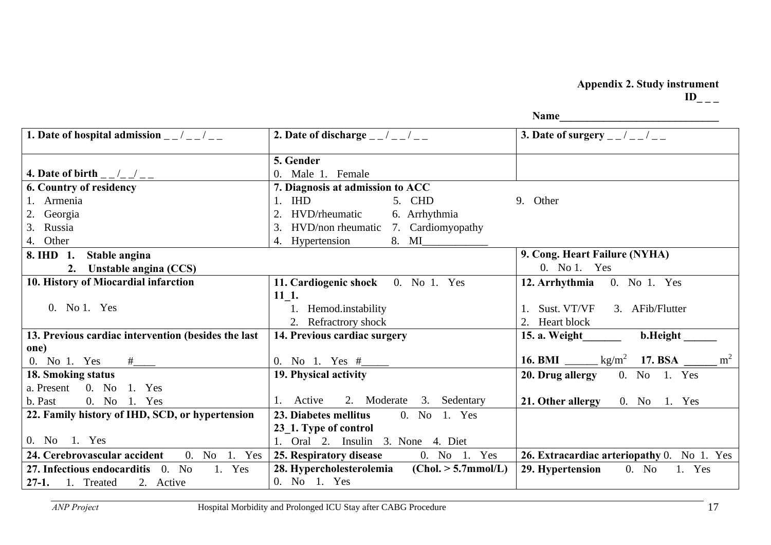# **Appendix 2. Study instrument**

 **Name\_\_\_\_\_\_\_\_\_\_\_\_\_\_\_\_\_\_\_\_\_\_\_\_\_\_\_\_\_** 

| 1. Date of hospital admission $\frac{1}{2}$ / $\frac{1}{2}$ / | 2. Date of discharge $\frac{1}{2}$ / $\frac{1}{2}$ / $\frac{1}{2}$         | <b>3.</b> Date of surgery $\frac{1}{2}$ $\frac{1}{2}$ $\frac{1}{2}$ $\frac{1}{2}$ |
|---------------------------------------------------------------|----------------------------------------------------------------------------|-----------------------------------------------------------------------------------|
|                                                               | 5. Gender                                                                  |                                                                                   |
| 4. Date of birth $_{-\,-}/_{-\,-}$                            | 0. Male 1. Female                                                          |                                                                                   |
| 6. Country of residency                                       | 7. Diagnosis at admission to ACC                                           |                                                                                   |
| 1. Armenia                                                    | $1.$ IHD<br>5. CHD                                                         | 9. Other                                                                          |
| 2. Georgia                                                    | HVD/rheumatic<br>6. Arrhythmia<br>$\overline{2}$                           |                                                                                   |
| 3. Russia                                                     | HVD/non rheumatic 7. Cardiomyopathy<br>3.                                  |                                                                                   |
| 4. Other                                                      | 4. Hypertension                                                            |                                                                                   |
| Stable angina<br>8. IHD 1.                                    |                                                                            | 9. Cong. Heart Failure (NYHA)                                                     |
| 2. Unstable angina (CCS)                                      |                                                                            | 0. No 1. Yes                                                                      |
| 10. History of Miocardial infarction                          | 11. Cardiogenic shock 0. No 1. Yes                                         | 12. Arrhythmia 0. No 1. Yes                                                       |
|                                                               | 11 1.                                                                      |                                                                                   |
| 0. No 1. Yes                                                  | 1. Hemod.instability                                                       | Sust. VT/VF<br>3. AFib/Flutter                                                    |
|                                                               | 2. Refractrory shock                                                       | Heart block                                                                       |
| 13. Previous cardiac intervention (besides the last           | 14. Previous cardiac surgery                                               | b.Height<br>15. a. Weight                                                         |
| one)                                                          |                                                                            | m <sup>2</sup>                                                                    |
| 0. No 1. Yes $\frac{\#$                                       | 0. No 1. Yes $#$ <sub>_____</sub>                                          | 16. BMI $\frac{1}{2}$ kg/m <sup>2</sup> 17. BSA                                   |
| 18. Smoking status                                            | 19. Physical activity                                                      | 20. Drug allergy $0.$ No 1. Yes                                                   |
| a. Present 0. No 1. Yes                                       | 1. Active                                                                  |                                                                                   |
| 0. No 1. Yes<br>b. Past                                       | 2. Moderate 3. Sedentary                                                   | 21. Other allergy $0.$ No 1. Yes                                                  |
| 22. Family history of IHD, SCD, or hypertension               | 23. Diabetes mellitus<br>0. No 1. Yes                                      |                                                                                   |
| 0. No 1. Yes                                                  | 23_1. Type of control<br>1. Oral 2. Insulin 3. None 4. Diet                |                                                                                   |
| 24. Cerebrovascular accident<br>0. No 1. Yes                  | 0. No 1. Yes                                                               | 26. Extracardiac arteriopathy 0. No 1. Yes                                        |
| 27. Infectious endocarditis 0. No<br>1. Yes                   | 25. Respiratory disease<br>28. Hypercholesterolemia<br>(Chol. > 5.7mmol/L) | 29. Hypertension<br>0. No<br>1. Yes                                               |
| <b>27-1.</b> 1. Treated<br>2. Active                          | 0. No 1. Yes                                                               |                                                                                   |
|                                                               |                                                                            |                                                                                   |